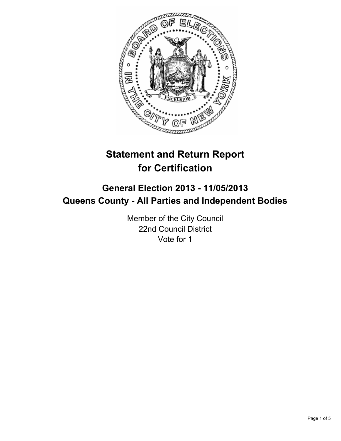

# **Statement and Return Report for Certification**

## **General Election 2013 - 11/05/2013 Queens County - All Parties and Independent Bodies**

Member of the City Council 22nd Council District Vote for 1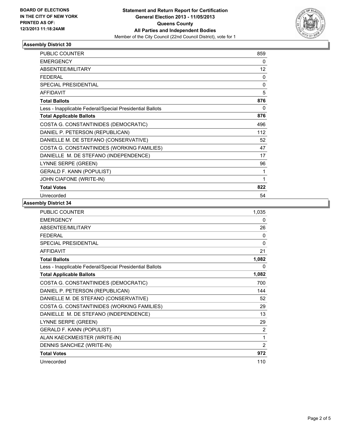

### **Assembly District 30**

| PUBLIC COUNTER                                           | 859          |
|----------------------------------------------------------|--------------|
| <b>EMERGENCY</b>                                         | 0            |
| <b>ABSENTEE/MILITARY</b>                                 | 12           |
| <b>FEDERAL</b>                                           | $\mathbf{0}$ |
| SPECIAL PRESIDENTIAL                                     | $\mathbf{0}$ |
| <b>AFFIDAVIT</b>                                         | 5            |
| <b>Total Ballots</b>                                     | 876          |
| Less - Inapplicable Federal/Special Presidential Ballots | 0            |
| <b>Total Applicable Ballots</b>                          | 876          |
| COSTA G. CONSTANTINIDES (DEMOCRATIC)                     | 496          |
| DANIEL P. PETERSON (REPUBLICAN)                          | 112          |
| DANIELLE M. DE STEFANO (CONSERVATIVE)                    | 52           |
| COSTA G. CONSTANTINIDES (WORKING FAMILIES)               | 47           |
| DANIELLE M. DE STEFANO (INDEPENDENCE)                    | 17           |
| LYNNE SERPE (GREEN)                                      | 96           |
| <b>GERALD F. KANN (POPULIST)</b>                         | 1            |
| JOHN CIAFONE (WRITE-IN)                                  | 1            |
| <b>Total Votes</b>                                       | 822          |
| Unrecorded                                               | 54           |

#### **Assembly District 34**

| PUBLIC COUNTER                                           | 1,035          |
|----------------------------------------------------------|----------------|
| <b>EMERGENCY</b>                                         | 0              |
| ABSENTEE/MILITARY                                        | 26             |
| <b>FFDFRAL</b>                                           | 0              |
| SPECIAL PRESIDENTIAL                                     | $\mathbf{0}$   |
| <b>AFFIDAVIT</b>                                         | 21             |
| <b>Total Ballots</b>                                     | 1,082          |
| Less - Inapplicable Federal/Special Presidential Ballots | 0              |
| <b>Total Applicable Ballots</b>                          | 1,082          |
| COSTA G. CONSTANTINIDES (DEMOCRATIC)                     | 700            |
| DANIEL P. PETERSON (REPUBLICAN)                          | 144            |
| DANIELLE M. DE STEFANO (CONSERVATIVE)                    | 52             |
| COSTA G. CONSTANTINIDES (WORKING FAMILIES)               | 29             |
| DANIELLE M. DE STEFANO (INDEPENDENCE)                    | 13             |
| LYNNE SERPE (GREEN)                                      | 29             |
| <b>GERALD F. KANN (POPULIST)</b>                         | 2              |
| ALAN KAECKMEISTER (WRITE-IN)                             | 1              |
| DENNIS SANCHEZ (WRITE-IN)                                | $\overline{2}$ |
| <b>Total Votes</b>                                       | 972            |
| Unrecorded                                               | 110            |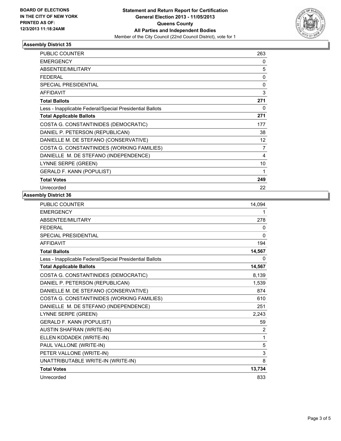

#### **Assembly District 35**

| <b>PUBLIC COUNTER</b>                                    | 263               |
|----------------------------------------------------------|-------------------|
| <b>EMERGENCY</b>                                         | 0                 |
| ABSENTEE/MILITARY                                        | 5                 |
| <b>FEDERAL</b>                                           | 0                 |
| <b>SPECIAL PRESIDENTIAL</b>                              | 0                 |
| <b>AFFIDAVIT</b>                                         | 3                 |
| <b>Total Ballots</b>                                     | 271               |
| Less - Inapplicable Federal/Special Presidential Ballots | 0                 |
| <b>Total Applicable Ballots</b>                          | 271               |
| COSTA G. CONSTANTINIDES (DEMOCRATIC)                     | 177               |
| DANIEL P. PETERSON (REPUBLICAN)                          | 38                |
| DANIELLE M. DE STEFANO (CONSERVATIVE)                    | $12 \overline{ }$ |
| COSTA G. CONSTANTINIDES (WORKING FAMILIES)               | 7                 |
| DANIELLE M. DE STEFANO (INDEPENDENCE)                    | 4                 |
| LYNNE SERPE (GREEN)                                      | 10                |
| <b>GERALD F. KANN (POPULIST)</b>                         | 1                 |
| <b>Total Votes</b>                                       | 249               |
| Unrecorded                                               | 22                |

#### **Assembly District 36**

| <b>PUBLIC COUNTER</b>                                    | 14.094         |
|----------------------------------------------------------|----------------|
| <b>EMERGENCY</b>                                         | 1              |
| <b>ABSENTEE/MILITARY</b>                                 | 278            |
| <b>FEDERAL</b>                                           | 0              |
| <b>SPECIAL PRESIDENTIAL</b>                              | $\mathbf{0}$   |
| <b>AFFIDAVIT</b>                                         | 194            |
| <b>Total Ballots</b>                                     | 14,567         |
| Less - Inapplicable Federal/Special Presidential Ballots | 0              |
| <b>Total Applicable Ballots</b>                          | 14,567         |
| COSTA G. CONSTANTINIDES (DEMOCRATIC)                     | 8,139          |
| DANIEL P. PETERSON (REPUBLICAN)                          | 1,539          |
| DANIELLE M. DE STEFANO (CONSERVATIVE)                    | 874            |
| COSTA G. CONSTANTINIDES (WORKING FAMILIES)               | 610            |
| DANIELLE M. DE STEFANO (INDEPENDENCE)                    | 251            |
| LYNNE SERPE (GREEN)                                      | 2,243          |
| <b>GERALD F. KANN (POPULIST)</b>                         | 59             |
| <b>AUSTIN SHAFRAN (WRITE-IN)</b>                         | $\overline{2}$ |
| ELLEN KODADEK (WRITE-IN)                                 | 1              |
| PAUL VALLONE (WRITE-IN)                                  | 5              |
| PETER VALLONE (WRITE-IN)                                 | 3              |
| UNATTRIBUTABLE WRITE-IN (WRITE-IN)                       | 8              |
| <b>Total Votes</b>                                       | 13,734         |
| Unrecorded                                               | 833            |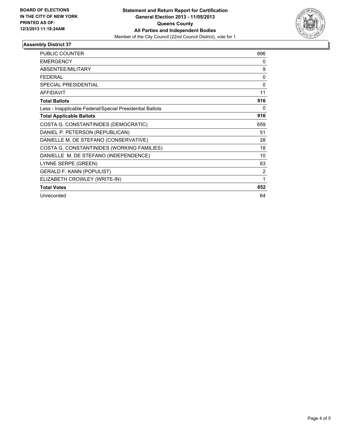

#### **Assembly District 37**

| <b>PUBLIC COUNTER</b>                                    | 896            |
|----------------------------------------------------------|----------------|
| <b>EMERGENCY</b>                                         | 0              |
| ABSENTEE/MILITARY                                        | 9              |
| <b>FEDERAL</b>                                           | $\Omega$       |
| <b>SPECIAL PRESIDENTIAL</b>                              | $\Omega$       |
| <b>AFFIDAVIT</b>                                         | 11             |
| <b>Total Ballots</b>                                     | 916            |
| Less - Inapplicable Federal/Special Presidential Ballots | 0              |
| <b>Total Applicable Ballots</b>                          | 916            |
| COSTA G. CONSTANTINIDES (DEMOCRATIC)                     | 659            |
| DANIEL P. PETERSON (REPUBLICAN)                          | 51             |
| DANIELLE M. DE STEFANO (CONSERVATIVE)                    | 28             |
| COSTA G. CONSTANTINIDES (WORKING FAMILIES)               | 18             |
| DANIELLE M. DE STEFANO (INDEPENDENCE)                    | 10             |
| LYNNE SERPE (GREEN)                                      | 83             |
| <b>GERALD F. KANN (POPULIST)</b>                         | $\overline{2}$ |
| ELIZABETH CROWLEY (WRITE-IN)                             | 1              |
| <b>Total Votes</b>                                       | 852            |
| Unrecorded                                               | 64             |